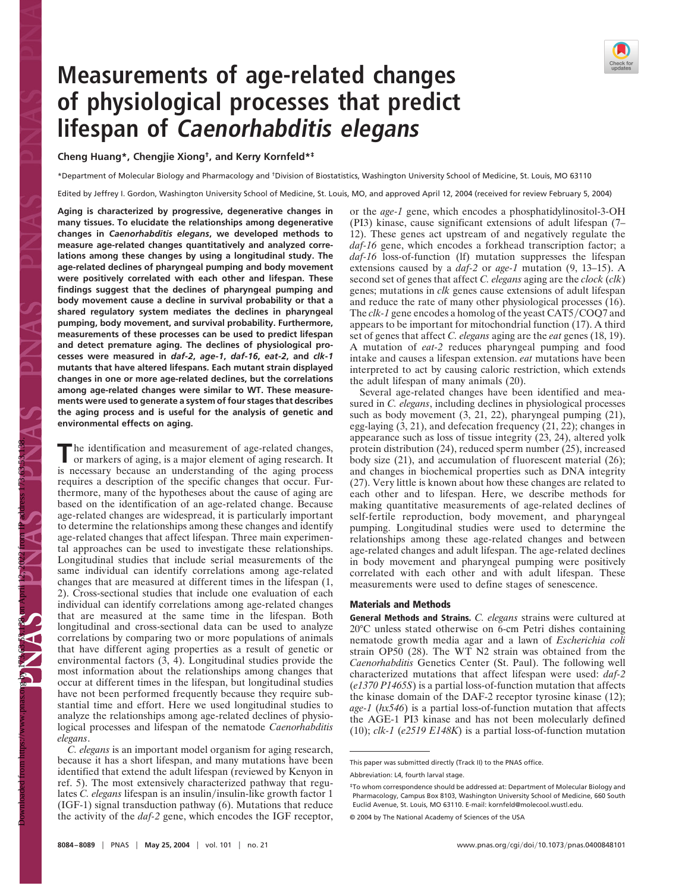

# **Measurements of age-related changes of physiological processes that predict lifespan of Caenorhabditis elegans**

**Cheng Huang\*, Chengjie Xiong†, and Kerry Kornfeld\*‡**

\*Department of Molecular Biology and Pharmacology and †Division of Biostatistics, Washington University School of Medicine, St. Louis, MO 63110

Edited by Jeffrey I. Gordon, Washington University School of Medicine, St. Louis, MO, and approved April 12, 2004 (received for review February 5, 2004)

**Aging is characterized by progressive, degenerative changes in many tissues. To elucidate the relationships among degenerative changes in** *Caenorhabditis elegans***, we developed methods to measure age-related changes quantitatively and analyzed correlations among these changes by using a longitudinal study. The age-related declines of pharyngeal pumping and body movement were positively correlated with each other and lifespan. These findings suggest that the declines of pharyngeal pumping and body movement cause a decline in survival probability or that a shared regulatory system mediates the declines in pharyngeal pumping, body movement, and survival probability. Furthermore, measurements of these processes can be used to predict lifespan and detect premature aging. The declines of physiological processes were measured in** *daf-2***,** *age-1***,** *daf-16***,** *eat-2***, and** *clk-1* **mutants that have altered lifespans. Each mutant strain displayed changes in one or more age-related declines, but the correlations among age-related changes were similar to WT. These measurements were used to generate a system of four stages that describes the aging process and is useful for the analysis of genetic and environmental effects on aging.**

**T**he identification and measurement of age-related changes, or markers of aging, is a major element of aging research. It is necessary because an understanding of the aging process requires a description of the specific changes that occur. Furthermore, many of the hypotheses about the cause of aging are based on the identification of an age-related change. Because age-related changes are widespread, it is particularly important to determine the relationships among these changes and identify age-related changes that affect lifespan. Three main experimental approaches can be used to investigate these relationships. Longitudinal studies that include serial measurements of the same individual can identify correlations among age-related changes that are measured at different times in the lifespan (1, 2). Cross-sectional studies that include one evaluation of each individual can identify correlations among age-related changes that are measured at the same time in the lifespan. Both longitudinal and cross-sectional data can be used to analyze correlations by comparing two or more populations of animals that have different aging properties as a result of genetic or environmental factors (3, 4). Longitudinal studies provide the most information about the relationships among changes that occur at different times in the lifespan, but longitudinal studies have not been performed frequently because they require substantial time and effort. Here we used longitudinal studies to analyze the relationships among age-related declines of physiological processes and lifespan of the nematode *Caenorhabditis elegans*.

Downloaded from https://www.pnas.org by 173.63.53.138 on April 12, 2022 from IP address 173.63.53.138.

*C. elegans* is an important model organism for aging research, because it has a short lifespan, and many mutations have been identified that extend the adult lifespan (reviewed by Kenyon in ref. 5). The most extensively characterized pathway that regulates *C. elegans* lifespan is an insulin/insulin-like growth factor 1 (IGF-1) signal transduction pathway (6). Mutations that reduce the activity of the *daf-2* gene, which encodes the IGF receptor, or the *age-1* gene, which encodes a phosphatidylinositol-3-OH (PI3) kinase, cause significant extensions of adult lifespan (7– 12). These genes act upstream of and negatively regulate the *daf-16* gene, which encodes a forkhead transcription factor; a *daf-16* loss-of-function (lf) mutation suppresses the lifespan extensions caused by a *daf-2* or *age-1* mutation (9, 13–15). A second set of genes that affect *C. elegans* aging are the *clock* (*clk*) genes; mutations in *clk* genes cause extensions of adult lifespan and reduce the rate of many other physiological processes (16). The *clk-1* gene encodes a homolog of the yeast CAT5/COQ7 and appears to be important for mitochondrial function (17). A third set of genes that affect *C. elegans* aging are the *eat* genes (18, 19). A mutation of *eat-2* reduces pharyngeal pumping and food intake and causes a lifespan extension. *eat* mutations have been interpreted to act by causing caloric restriction, which extends the adult lifespan of many animals (20).

Several age-related changes have been identified and measured in *C. elegans*, including declines in physiological processes such as body movement (3, 21, 22), pharyngeal pumping (21), egg-laying (3, 21), and defecation frequency (21, 22); changes in appearance such as loss of tissue integrity (23, 24), altered yolk protein distribution (24), reduced sperm number (25), increased body size (21), and accumulation of fluorescent material (26); and changes in biochemical properties such as DNA integrity (27). Very little is known about how these changes are related to each other and to lifespan. Here, we describe methods for making quantitative measurements of age-related declines of self-fertile reproduction, body movement, and pharyngeal pumping. Longitudinal studies were used to determine the relationships among these age-related changes and between age-related changes and adult lifespan. The age-related declines in body movement and pharyngeal pumping were positively correlated with each other and with adult lifespan. These measurements were used to define stages of senescence.

### **Materials and Methods**

**General Methods and Strains.** *C. elegans* strains were cultured at 20°C unless stated otherwise on 6-cm Petri dishes containing nematode growth media agar and a lawn of *Escherichia coli* strain OP50 (28). The WT N2 strain was obtained from the *Caenorhabditis* Genetics Center (St. Paul). The following well characterized mutations that affect lifespan were used: *daf-2* (*e1370 P1465S*) is a partial loss-of-function mutation that affects the kinase domain of the DAF-2 receptor tyrosine kinase (12); *age-1* (*hx546*) is a partial loss-of-function mutation that affects the AGE-1 PI3 kinase and has not been molecularly defined (10); *clk-1* (*e2519 E148K*) is a partial loss-of-function mutation

This paper was submitted directly (Track II) to the PNAS office.

Abbreviation: L4, fourth larval stage.

<sup>‡</sup>To whom correspondence should be addressed at: Department of Molecular Biology and Pharmacology, Campus Box 8103, Washington University School of Medicine, 660 South Euclid Avenue, St. Louis, MO 63110. E-mail: kornfeld@molecool.wustl.edu.

<sup>© 2004</sup> by The National Academy of Sciences of the USA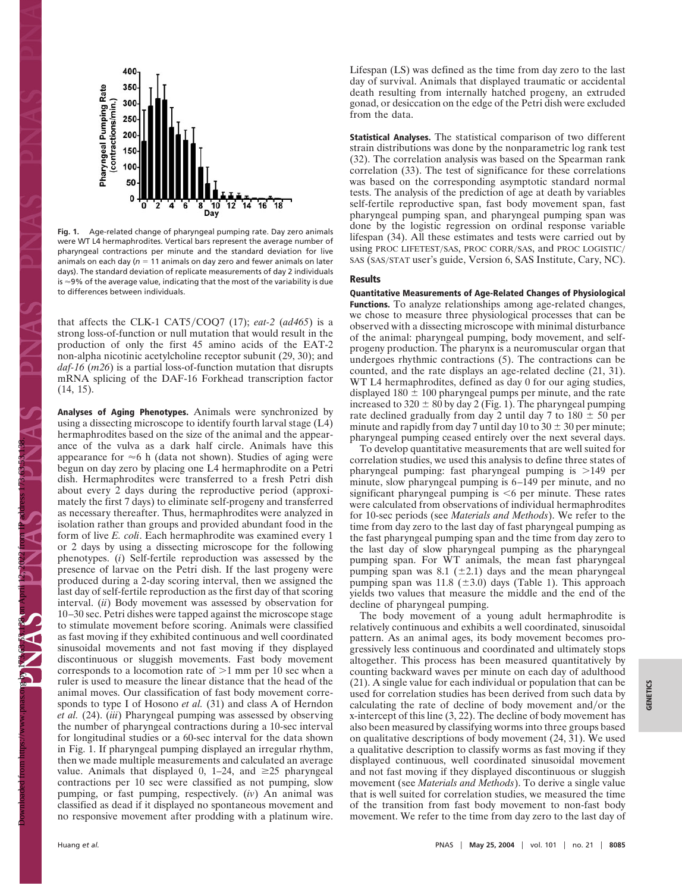

**Fig. 1.** Age-related change of pharyngeal pumping rate. Day zero animals were WT L4 hermaphrodites. Vertical bars represent the average number of pharyngeal contractions per minute and the standard deviation for live animals on each day ( $n = 11$  animals on day zero and fewer animals on later days). The standard deviation of replicate measurements of day 2 individuals is  $\approx$ 9% of the average value, indicating that the most of the variability is due to differences between individuals.

that affects the CLK-1 CAT5/COQ7  $(17)$ ; *eat-2*  $(ad465)$  is a strong loss-of-function or null mutation that would result in the production of only the first 45 amino acids of the EAT-2 non-alpha nicotinic acetylcholine receptor subunit (29, 30); and *daf-16* (*m26*) is a partial loss-of-function mutation that disrupts mRNA splicing of the DAF-16 Forkhead transcription factor (14, 15).

**Analyses of Aging Phenotypes.** Animals were synchronized by using a dissecting microscope to identify fourth larval stage (L4) hermaphrodites based on the size of the animal and the appearance of the vulva as a dark half circle. Animals have this appearance for  $\approx$  6 h (data not shown). Studies of aging were begun on day zero by placing one L4 hermaphrodite on a Petri dish. Hermaphrodites were transferred to a fresh Petri dish about every 2 days during the reproductive period (approximately the first 7 days) to eliminate self-progeny and transferred as necessary thereafter. Thus, hermaphrodites were analyzed in isolation rather than groups and provided abundant food in the form of live *E. coli*. Each hermaphrodite was examined every 1 or 2 days by using a dissecting microscope for the following phenotypes. (*i*) Self-fertile reproduction was assessed by the presence of larvae on the Petri dish. If the last progeny were produced during a 2-day scoring interval, then we assigned the last day of self-fertile reproduction as the first day of that scoring interval. (*ii*) Body movement was assessed by observation for 10–30 sec. Petri dishes were tapped against the microscope stage to stimulate movement before scoring. Animals were classified as fast moving if they exhibited continuous and well coordinated sinusoidal movements and not fast moving if they displayed discontinuous or sluggish movements. Fast body movement corresponds to a locomotion rate of  $>1$  mm per 10 sec when a ruler is used to measure the linear distance that the head of the animal moves. Our classification of fast body movement corresponds to type I of Hosono *et al.* (31) and class A of Herndon *et al.* (24). (*iii*) Pharyngeal pumping was assessed by observing the number of pharyngeal contractions during a 10-sec interval for longitudinal studies or a 60-sec interval for the data shown in Fig. 1. If pharyngeal pumping displayed an irregular rhythm, then we made multiple measurements and calculated an average value. Animals that displayed 0, 1–24, and  $\geq$  25 pharyngeal contractions per 10 sec were classified as not pumping, slow pumping, or fast pumping, respectively. (*iv*) An animal was classified as dead if it displayed no spontaneous movement and no responsive movement after prodding with a platinum wire.

Lifespan (LS) was defined as the time from day zero to the last day of survival. Animals that displayed traumatic or accidental death resulting from internally hatched progeny, an extruded gonad, or desiccation on the edge of the Petri dish were excluded from the data.

**Statistical Analyses.** The statistical comparison of two different strain distributions was done by the nonparametric log rank test (32). The correlation analysis was based on the Spearman rank correlation (33). The test of significance for these correlations was based on the corresponding asymptotic standard normal tests. The analysis of the prediction of age at death by variables self-fertile reproductive span, fast body movement span, fast pharyngeal pumping span, and pharyngeal pumping span was done by the logistic regression on ordinal response variable lifespan (34). All these estimates and tests were carried out by using PROC LIFETEST/SAS, PROC CORR/SAS, and PROC LOGISTIC/ SAS (SAS/STAT user's guide, Version 6, SAS Institute, Cary, NC).

## **Results**

**Quantitative Measurements of Age-Related Changes of Physiological Functions.** To analyze relationships among age-related changes, we chose to measure three physiological processes that can be observed with a dissecting microscope with minimal disturbance of the animal: pharyngeal pumping, body movement, and selfprogeny production. The pharynx is a neuromuscular organ that undergoes rhythmic contractions (5). The contractions can be counted, and the rate displays an age-related decline (21, 31). WT L4 hermaphrodites, defined as day 0 for our aging studies, displayed  $180 \pm 100$  pharyngeal pumps per minute, and the rate increased to  $320 \pm 80$  by day 2 (Fig. 1). The pharyngeal pumping rate declined gradually from day 2 until day 7 to  $180 \pm 50$  per minute and rapidly from day 7 until day 10 to 30  $\pm$  30 per minute; pharyngeal pumping ceased entirely over the next several days.

To develop quantitative measurements that are well suited for correlation studies, we used this analysis to define three states of pharyngeal pumping: fast pharyngeal pumping is >149 per minute, slow pharyngeal pumping is 6–149 per minute, and no significant pharyngeal pumping is  $< 6$  per minute. These rates were calculated from observations of individual hermaphrodites for 10-sec periods (see *Materials and Methods*). We refer to the time from day zero to the last day of fast pharyngeal pumping as the fast pharyngeal pumping span and the time from day zero to the last day of slow pharyngeal pumping as the pharyngeal pumping span. For WT animals, the mean fast pharyngeal pumping span was 8.1 ( $\pm$ 2.1) days and the mean pharyngeal pumping span was 11.8 ( $\pm$ 3.0) days (Table 1). This approach yields two values that measure the middle and the end of the decline of pharyngeal pumping.

The body movement of a young adult hermaphrodite is relatively continuous and exhibits a well coordinated, sinusoidal pattern. As an animal ages, its body movement becomes progressively less continuous and coordinated and ultimately stops altogether. This process has been measured quantitatively by counting backward waves per minute on each day of adulthood (21). A single value for each individual or population that can be used for correlation studies has been derived from such data by calculating the rate of decline of body movement and/or the x-intercept of this line (3, 22). The decline of body movement has also been measured by classifying worms into three groups based on qualitative descriptions of body movement (24, 31). We used a qualitative description to classify worms as fast moving if they displayed continuous, well coordinated sinusoidal movement and not fast moving if they displayed discontinuous or sluggish movement (see *Materials and Methods*). To derive a single value that is well suited for correlation studies, we measured the time of the transition from fast body movement to non-fast body movement. We refer to the time from day zero to the last day of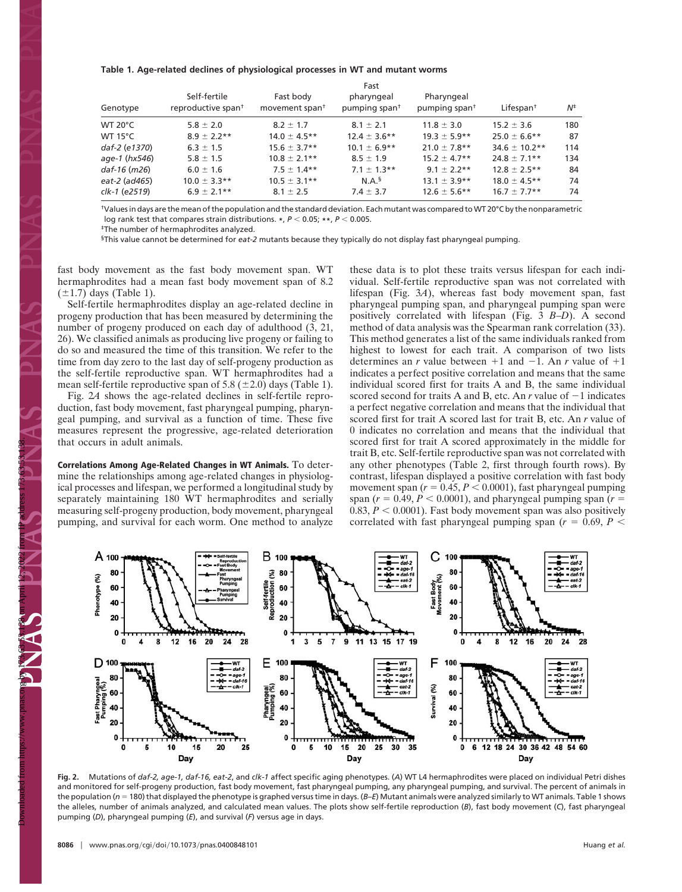#### **Table 1. Age-related declines of physiological processes in WT and mutant worms**

| Genotype      | Self-fertile<br>reproductive span <sup>†</sup> | Fast body<br>movement span <sup>+</sup> | pharyngeal<br>pumping span <sup>t</sup> | Pharyngeal<br>pumping span <sup>+</sup> | Lifespan <sup>†</sup> | $N^{\ddagger}$ |
|---------------|------------------------------------------------|-----------------------------------------|-----------------------------------------|-----------------------------------------|-----------------------|----------------|
| WT 20°C       | $5.8 \pm 2.0$                                  | $8.2 \pm 1.7$                           | $8.1 \pm 2.1$                           | $11.8 \pm 3.0$                          | $15.2 \pm 3.6$        | 180            |
| WT 15°C       | $8.9 \pm 2.2**$                                | $14.0 \pm 4.5**$                        | $12.4 \pm 3.6**$                        | $19.3 \pm 5.9**$                        | $25.0 \pm 6.6**$      | 87             |
| daf-2 (e1370) | $6.3 \pm 1.5$                                  | $15.6 \pm 3.7**$                        | $10.1 \pm 6.9**$                        | $21.0 \pm 7.8**$                        | $34.6 \pm 10.2**$     | 114            |
| age-1 (hx546) | $5.8 \pm 1.5$                                  | $10.8 \pm 2.1**$                        | $8.5 \pm 1.9$                           | $15.2 + 4.7**$                          | $24.8 \pm 7.1**$      | 134            |
| daf-16 (m26)  | $6.0 \pm 1.6$                                  | $7.5 + 1.4**$                           | $7.1 \pm 1.3**$                         | $9.1 \pm 2.2**$                         | $12.8 \pm 2.5**$      | 84             |
| eat-2 (ad465) | $10.0 \pm 3.3**$                               | $10.5 \pm 3.1**$                        | N.A. <sup>5</sup>                       | $13.1 \pm 3.9**$                        | $18.0 \pm 4.5$ **     | 74             |
| clk-1 (e2519) | $6.9 \pm 2.1**$                                | $8.1 \pm 2.5$                           | $7.4 \pm 3.7$                           | $12.6 \pm 5.6**$                        | $16.7 \pm 7.7**$      | 74             |
|               |                                                |                                         |                                         |                                         |                       |                |

†Values in days are the mean of the population and the standard deviation. Each mutant was compared to WT 20°C by the nonparametric log rank test that compares strain distributions. **\***,  $P < 0.05$ ; **\*\***,  $P < 0.005$ .<br><sup>‡</sup>The number of hermaphrodites analyzed.

§This value cannot be determined for *eat-2* mutants because they typically do not display fast pharyngeal pumping.

fast body movement as the fast body movement span. WT hermaphrodites had a mean fast body movement span of 8.2  $(\pm 1.7)$  days (Table 1).

Self-fertile hermaphrodites display an age-related decline in progeny production that has been measured by determining the number of progeny produced on each day of adulthood (3, 21, 26). We classified animals as producing live progeny or failing to do so and measured the time of this transition. We refer to the time from day zero to the last day of self-progeny production as the self-fertile reproductive span. WT hermaphrodites had a mean self-fertile reproductive span of 5.8 ( $\pm$ 2.0) days (Table 1).

Fig. 2*A* shows the age-related declines in self-fertile reproduction, fast body movement, fast pharyngeal pumping, pharyngeal pumping, and survival as a function of time. These five measures represent the progressive, age-related deterioration that occurs in adult animals.

**Correlations Among Age-Related Changes in WT Animals.** To determine the relationships among age-related changes in physiological processes and lifespan, we performed a longitudinal study by separately maintaining 180 WT hermaphrodites and serially measuring self-progeny production, body movement, pharyngeal pumping, and survival for each worm. One method to analyze these data is to plot these traits versus lifespan for each individual. Self-fertile reproductive span was not correlated with lifespan (Fig. 3*A*), whereas fast body movement span, fast pharyngeal pumping span, and pharyngeal pumping span were positively correlated with lifespan (Fig. 3 *B*–*D*). A second method of data analysis was the Spearman rank correlation (33). This method generates a list of the same individuals ranked from highest to lowest for each trait. A comparison of two lists determines an *r* value between  $+1$  and  $-1$ . An *r* value of  $+1$ indicates a perfect positive correlation and means that the same individual scored first for traits A and B, the same individual scored second for traits A and B, etc. An  $r$  value of  $-1$  indicates a perfect negative correlation and means that the individual that scored first for trait A scored last for trait B, etc. An *r* value of 0 indicates no correlation and means that the individual that scored first for trait A scored approximately in the middle for trait B, etc. Self-fertile reproductive span was not correlated with any other phenotypes (Table 2, first through fourth rows). By contrast, lifespan displayed a positive correlation with fast body movement span  $(r = 0.45, P < 0.0001)$ , fast pharyngeal pumping span ( $r = 0.49$ ,  $P < 0.0001$ ), and pharyngeal pumping span ( $r =$ 0.83,  $P < 0.0001$ ). Fast body movement span was also positively correlated with fast pharyngeal pumping span ( $r = 0.69$ ,  $P <$ 



**Fig. 2.** Mutations of *daf-2, age-1, daf-16, eat-2*, and *clk-1* affect specific aging phenotypes. (*A*) WT L4 hermaphrodites were placed on individual Petri dishes and monitored for self-progeny production, fast body movement, fast pharyngeal pumping, any pharyngeal pumping, and survival. The percent of animals in the population ( $n = 180$ ) that displayed the phenotype is graphed versus time in days. ( $B$ – $E$ ) Mutant animals were analyzed similarly to WT animals. Table 1 shows the alleles, number of animals analyzed, and calculated mean values. The plots show self-fertile reproduction (*B*), fast body movement (*C*), fast pharyngeal pumping (*D*), pharyngeal pumping (*E*), and survival (*F*) versus age in days.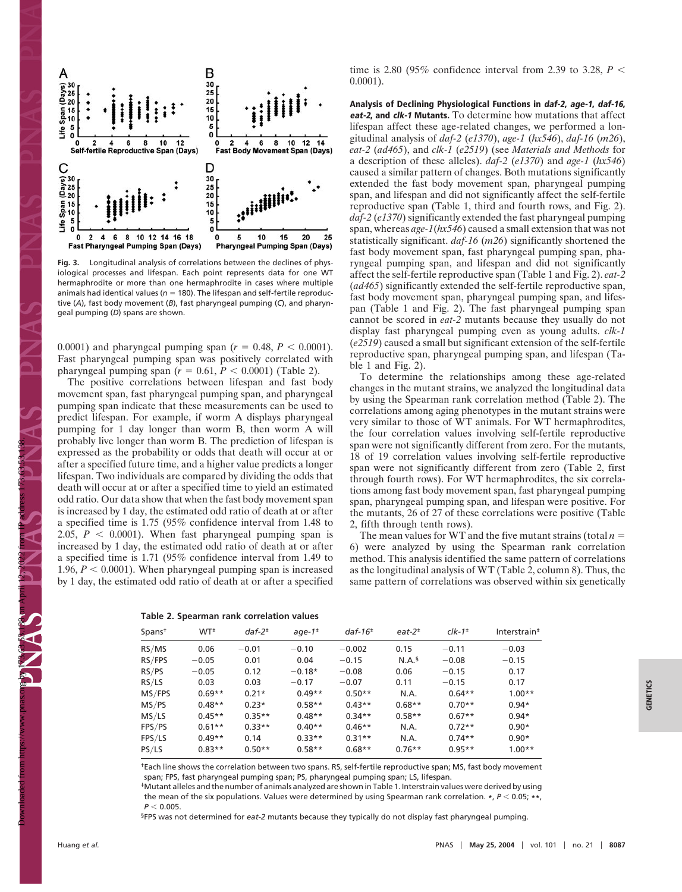

**Fig. 3.** Longitudinal analysis of correlations between the declines of physiological processes and lifespan. Each point represents data for one WT hermaphrodite or more than one hermaphrodite in cases where multiple animals had identical values ( $n = 180$ ). The lifespan and self-fertile reproductive (*A*), fast body movement (*B*), fast pharyngeal pumping (*C*), and pharyngeal pumping (*D*) spans are shown.

0.0001) and pharyngeal pumping span  $(r = 0.48, P < 0.0001)$ . Fast pharyngeal pumping span was positively correlated with pharyngeal pumping span  $(r = 0.61, P < 0.0001)$  (Table 2).

The positive correlations between lifespan and fast body movement span, fast pharyngeal pumping span, and pharyngeal pumping span indicate that these measurements can be used to predict lifespan. For example, if worm A displays pharyngeal pumping for 1 day longer than worm B, then worm A will probably live longer than worm B. The prediction of lifespan is expressed as the probability or odds that death will occur at or after a specified future time, and a higher value predicts a longer lifespan. Two individuals are compared by dividing the odds that death will occur at or after a specified time to yield an estimated odd ratio. Our data show that when the fast body movement span is increased by 1 day, the estimated odd ratio of death at or after a specified time is 1.75 (95% confidence interval from 1.48 to 2.05,  $P < 0.0001$ ). When fast pharyngeal pumping span is increased by 1 day, the estimated odd ratio of death at or after a specified time is 1.71 (95% confidence interval from 1.49 to 1.96,  $P < 0.0001$ ). When pharyngeal pumping span is increased by 1 day, the estimated odd ratio of death at or after a specified

| Table 2. Spearman rank correlation values |  |  |  |
|-------------------------------------------|--|--|--|
|-------------------------------------------|--|--|--|

|             |  | time is 2.80 (95% confidence interval from 2.39 to 3.28, $P \leq$ |  |  |  |  |
|-------------|--|-------------------------------------------------------------------|--|--|--|--|
| $0.0001$ ). |  |                                                                   |  |  |  |  |

**Analysis of Declining Physiological Functions in daf-2, age-1, daf-16, eat-2, and clk-1 Mutants.** To determine how mutations that affect lifespan affect these age-related changes, we performed a longitudinal analysis of *daf-2* (*e1370*), *age-1* (*hx546*), *daf-16* (*m26*), *eat-2* (*ad465*), and *clk-1* (*e2519*) (see *Materials and Methods* for a description of these alleles). *daf-2* (*e1370*) and *age-1* (*hx546*) caused a similar pattern of changes. Both mutations significantly extended the fast body movement span, pharyngeal pumping span, and lifespan and did not significantly affect the self-fertile reproductive span (Table 1, third and fourth rows, and Fig. 2). *daf-2* (*e1370*) significantly extended the fast pharyngeal pumping span, whereas *age-1*(*hx546*) caused a small extension that was not statistically significant. *daf-16* (*m26*) significantly shortened the fast body movement span, fast pharyngeal pumping span, pharyngeal pumping span, and lifespan and did not significantly affect the self-fertile reproductive span (Table 1 and Fig. 2). *eat-2* (*ad465*) significantly extended the self-fertile reproductive span, fast body movement span, pharyngeal pumping span, and lifespan (Table 1 and Fig. 2). The fast pharyngeal pumping span cannot be scored in *eat-2* mutants because they usually do not display fast pharyngeal pumping even as young adults. *clk-1* (*e2519*) caused a small but significant extension of the self-fertile reproductive span, pharyngeal pumping span, and lifespan (Table 1 and Fig. 2).

To determine the relationships among these age-related changes in the mutant strains, we analyzed the longitudinal data by using the Spearman rank correlation method (Table 2). The correlations among aging phenotypes in the mutant strains were very similar to those of WT animals. For WT hermaphrodites, the four correlation values involving self-fertile reproductive span were not significantly different from zero. For the mutants, 18 of 19 correlation values involving self-fertile reproductive span were not significantly different from zero (Table 2, first through fourth rows). For WT hermaphrodites, the six correlations among fast body movement span, fast pharyngeal pumping span, pharyngeal pumping span, and lifespan were positive. For the mutants, 26 of 27 of these correlations were positive (Table 2, fifth through tenth rows).

The mean values for WT and the five mutant strains (total  $n =$ 6) were analyzed by using the Spearman rank correlation method. This analysis identified the same pattern of correlations as the longitudinal analysis of WT (Table 2, column 8). Thus, the same pattern of correlations was observed within six genetically

| Spans <sup>†</sup> | $WT^+$   | $d$ af-2 <sup><math>\pm</math></sup> | age- $1^{\ddagger}$ | $d$ af-16 <sup><math>\pm</math></sup> | $eat-2‡$          | $dk-1$ <sup><math>\ddagger</math></sup> | Interstrain <sup><math>+</math></sup> |
|--------------------|----------|--------------------------------------|---------------------|---------------------------------------|-------------------|-----------------------------------------|---------------------------------------|
| RS/MS              | 0.06     | $-0.01$                              | $-0.10$             | $-0.002$                              | 0.15              | $-0.11$                                 | $-0.03$                               |
| RS/FPS             | $-0.05$  | 0.01                                 | 0.04                | $-0.15$                               | N.A. <sup>5</sup> | $-0.08$                                 | $-0.15$                               |
| RS/PS              | $-0.05$  | 0.12                                 | $-0.18*$            | $-0.08$                               | 0.06              | $-0.15$                                 | 0.17                                  |
| RS/LS              | 0.03     | 0.03                                 | $-0.17$             | $-0.07$                               | 0.11              | $-0.15$                                 | 0.17                                  |
| MS/FPS             | $0.69**$ | $0.21*$                              | $0.49**$            | $0.50**$                              | N.A.              | $0.64**$                                | $1.00**$                              |
| MS/PS              | $0.48**$ | $0.23*$                              | $0.58**$            | $0.43**$                              | $0.68**$          | $0.70**$                                | $0.94*$                               |
| MS/LS              | $0.45**$ | $0.35**$                             | $0.48**$            | $0.34**$                              | $0.58**$          | $0.67**$                                | $0.94*$                               |
| FPS/PS             | $0.61**$ | $0.33**$                             | $0.40**$            | $0.46**$                              | N.A.              | $0.72**$                                | $0.90*$                               |
| FPS/LS             | $0.49**$ | 0.14                                 | $0.33**$            | $0.31**$                              | N.A.              | $0.74**$                                | $0.90*$                               |
| PS/LS              | $0.83**$ | $0.50**$                             | $0.58**$            | $0.68**$                              | $0.76**$          | $0.95**$                                | $1.00**$                              |

†Each line shows the correlation between two spans. RS, self-fertile reproductive span; MS, fast body movement span; FPS, fast pharyngeal pumping span; PS, pharyngeal pumping span; LS, lifespan.

‡Mutant alleles and the number of animals analyzed are shown in Table 1. Interstrain values were derived by using the mean of the six populations. Values were determined by using Spearman rank correlation.  $*$ ,  $P < 0.05$ ;  $**$ ,  $P < 0.005$ 

§FPS was not determined for *eat-2* mutants because they typically do not display fast pharyngeal pumping.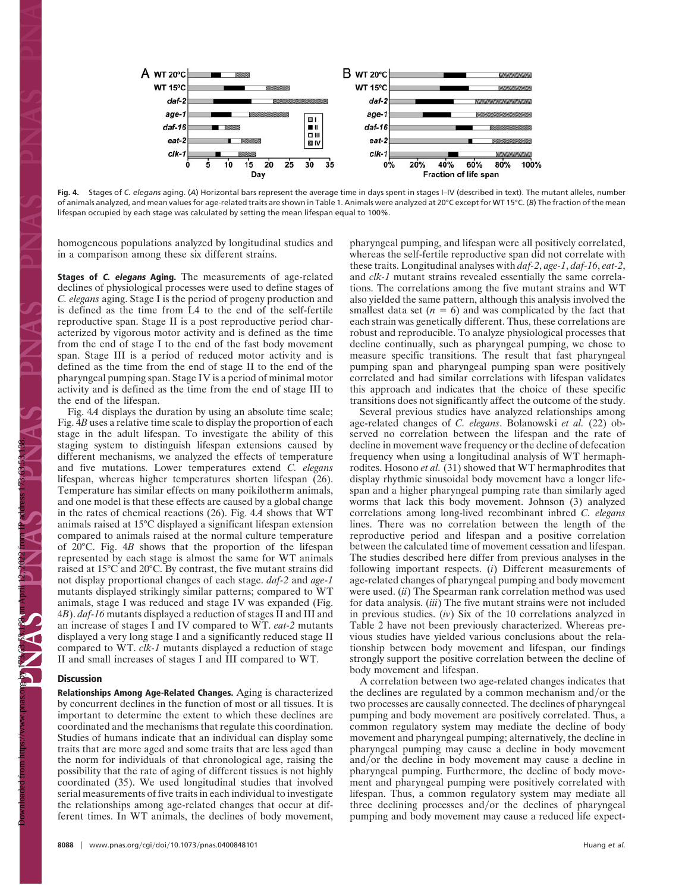

**Fig. 4.** Stages of *C. elegans* aging. (*A*) Horizontal bars represent the average time in days spent in stages I–IV (described in text). The mutant alleles, number of animals analyzed, and mean values for age-related traits are shown in Table 1. Animals were analyzed at 20°C except for WT 15°C. (*B*) The fraction of the mean lifespan occupied by each stage was calculated by setting the mean lifespan equal to 100%.

homogeneous populations analyzed by longitudinal studies and in a comparison among these six different strains.

**Stages of C. elegans Aging.** The measurements of age-related declines of physiological processes were used to define stages of *C. elegans* aging. Stage I is the period of progeny production and is defined as the time from L4 to the end of the self-fertile reproductive span. Stage II is a post reproductive period characterized by vigorous motor activity and is defined as the time from the end of stage I to the end of the fast body movement span. Stage III is a period of reduced motor activity and is defined as the time from the end of stage II to the end of the pharyngeal pumping span. Stage IV is a period of minimal motor activity and is defined as the time from the end of stage III to the end of the lifespan.

Fig. 4*A* displays the duration by using an absolute time scale; Fig. 4*B* uses a relative time scale to display the proportion of each stage in the adult lifespan. To investigate the ability of this staging system to distinguish lifespan extensions caused by different mechanisms, we analyzed the effects of temperature and five mutations. Lower temperatures extend *C. elegans* lifespan, whereas higher temperatures shorten lifespan (26). Temperature has similar effects on many poikilotherm animals, and one model is that these effects are caused by a global change in the rates of chemical reactions (26). Fig. 4*A* shows that WT animals raised at 15°C displayed a significant lifespan extension compared to animals raised at the normal culture temperature of 20°C. Fig. 4*B* shows that the proportion of the lifespan represented by each stage is almost the same for WT animals raised at 15°C and 20°C. By contrast, the five mutant strains did not display proportional changes of each stage. *daf-2* and *age-1* mutants displayed strikingly similar patterns; compared to WT animals, stage I was reduced and stage IV was expanded (Fig. 4*B*). *daf-16* mutants displayed a reduction of stages II and III and an increase of stages I and IV compared to WT. *eat-2* mutants displayed a very long stage I and a significantly reduced stage II compared to WT. *clk-1* mutants displayed a reduction of stage II and small increases of stages I and III compared to WT.

## **Discussion**

Downloaded from https://www.pnas.org by 173.63.53.138 on April 12, 2022 from IP address 173.63.53.138.

**Relationships Among Age-Related Changes.** Aging is characterized by concurrent declines in the function of most or all tissues. It is important to determine the extent to which these declines are coordinated and the mechanisms that regulate this coordination. Studies of humans indicate that an individual can display some traits that are more aged and some traits that are less aged than the norm for individuals of that chronological age, raising the possibility that the rate of aging of different tissues is not highly coordinated (35). We used longitudinal studies that involved serial measurements of five traits in each individual to investigate the relationships among age-related changes that occur at different times. In WT animals, the declines of body movement,

pharyngeal pumping, and lifespan were all positively correlated, whereas the self-fertile reproductive span did not correlate with these traits. Longitudinal analyses with *daf-2*, *age-1*, *daf-16*, *eat-2*, and *clk-1* mutant strains revealed essentially the same correlations. The correlations among the five mutant strains and WT also yielded the same pattern, although this analysis involved the smallest data set  $(n = 6)$  and was complicated by the fact that each strain was genetically different. Thus, these correlations are robust and reproducible. To analyze physiological processes that decline continually, such as pharyngeal pumping, we chose to measure specific transitions. The result that fast pharyngeal pumping span and pharyngeal pumping span were positively correlated and had similar correlations with lifespan validates this approach and indicates that the choice of these specific transitions does not significantly affect the outcome of the study.

Several previous studies have analyzed relationships among age-related changes of *C. elegans*. Bolanowski *et al.* (22) observed no correlation between the lifespan and the rate of decline in movement wave frequency or the decline of defecation frequency when using a longitudinal analysis of WT hermaphrodites. Hosono *et al.* (31) showed that WT hermaphrodites that display rhythmic sinusoidal body movement have a longer lifespan and a higher pharyngeal pumping rate than similarly aged worms that lack this body movement. Johnson (3) analyzed correlations among long-lived recombinant inbred *C. elegans* lines. There was no correlation between the length of the reproductive period and lifespan and a positive correlation between the calculated time of movement cessation and lifespan. The studies described here differ from previous analyses in the following important respects. (*i*) Different measurements of age-related changes of pharyngeal pumping and body movement were used. (*ii*) The Spearman rank correlation method was used for data analysis. (*iii*) The five mutant strains were not included in previous studies. (*iv*) Six of the 10 correlations analyzed in Table 2 have not been previously characterized. Whereas previous studies have yielded various conclusions about the relationship between body movement and lifespan, our findings strongly support the positive correlation between the decline of body movement and lifespan.

A correlation between two age-related changes indicates that the declines are regulated by a common mechanism and/or the two processes are causally connected. The declines of pharyngeal pumping and body movement are positively correlated. Thus, a common regulatory system may mediate the decline of body movement and pharyngeal pumping; alternatively, the decline in pharyngeal pumping may cause a decline in body movement and/or the decline in body movement may cause a decline in pharyngeal pumping. Furthermore, the decline of body movement and pharyngeal pumping were positively correlated with lifespan. Thus, a common regulatory system may mediate all three declining processes and/or the declines of pharyngeal pumping and body movement may cause a reduced life expect-